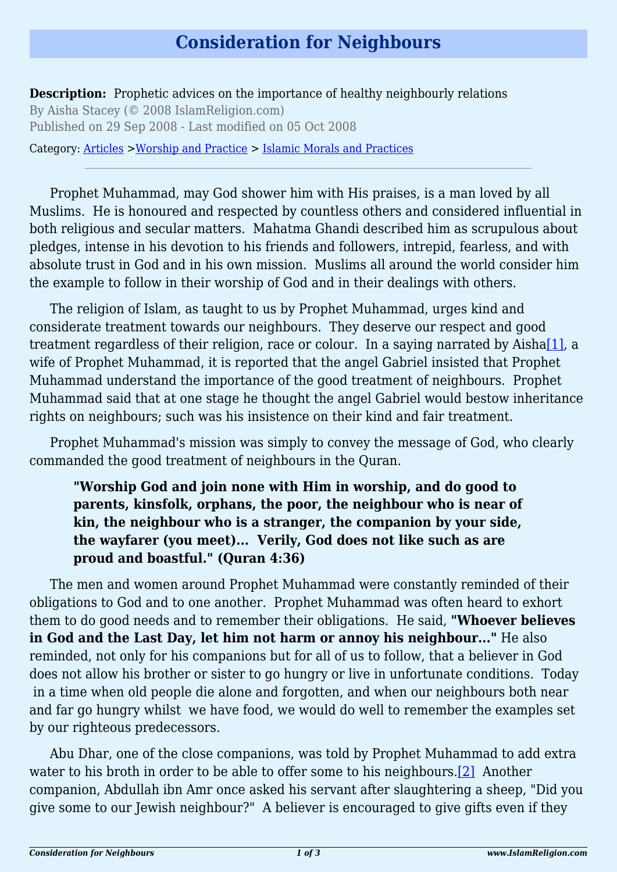## **Consideration for Neighbours**

**Description:** Prophetic advices on the importance of healthy neighbourly relations By Aisha Stacey (© 2008 IslamReligion.com) Published on 29 Sep 2008 - Last modified on 05 Oct 2008

Category: [Articles](http://www.islamreligion.com/articles/) >[Worship and Practice](http://www.islamreligion.com/category/55/) > [Islamic Morals and Practices](http://www.islamreligion.com/category/58/)

Prophet Muhammad, may God shower him with His praises, is a man loved by all Muslims. He is honoured and respected by countless others and considered influential in both religious and secular matters. Mahatma Ghandi described him as scrupulous about pledges, intense in his devotion to his friends and followers, intrepid, fearless, and with absolute trust in God and in his own mission. Muslims all around the world consider him the example to follow in their worship of God and in their dealings with others.

<span id="page-0-0"></span>The religion of Islam, as taught to us by Prophet Muhammad, urges kind and considerate treatment towards our neighbours. They deserve our respect and good treatment regardless of their religion, race or colour. In a saying narrated by Aisha $[1]$ , a wife of Prophet Muhammad, it is reported that the angel Gabriel insisted that Prophet Muhammad understand the importance of the good treatment of neighbours. Prophet Muhammad said that at one stage he thought the angel Gabriel would bestow inheritance rights on neighbours; such was his insistence on their kind and fair treatment.

Prophet Muhammad's mission was simply to convey the message of God, who clearly commanded the good treatment of neighbours in the Quran.

## **"Worship God and join none with Him in worship, and do good to parents, kinsfolk, orphans, the poor, the neighbour who is near of kin, the neighbour who is a stranger, the companion by your side, the wayfarer (you meet)... Verily, God does not like such as are proud and boastful." (Quran 4:36)**

The men and women around Prophet Muhammad were constantly reminded of their obligations to God and to one another. Prophet Muhammad was often heard to exhort them to do good needs and to remember their obligations. He said, **"Whoever believes in God and the Last Day, let him not harm or annoy his neighbour..."** He also reminded, not only for his companions but for all of us to follow, that a believer in God does not allow his brother or sister to go hungry or live in unfortunate conditions. Today in a time when old people die alone and forgotten, and when our neighbours both near and far go hungry whilst we have food, we would do well to remember the examples set by our righteous predecessors.

<span id="page-0-1"></span>Abu Dhar, one of the close companions, was told by Prophet Muhammad to add extra water to his broth in order to be able to offer some to his neighbours.<sup>[\[2\]](#page-2-1)</sup> Another companion, Abdullah ibn Amr once asked his servant after slaughtering a sheep, "Did you give some to our Jewish neighbour?" A believer is encouraged to give gifts even if they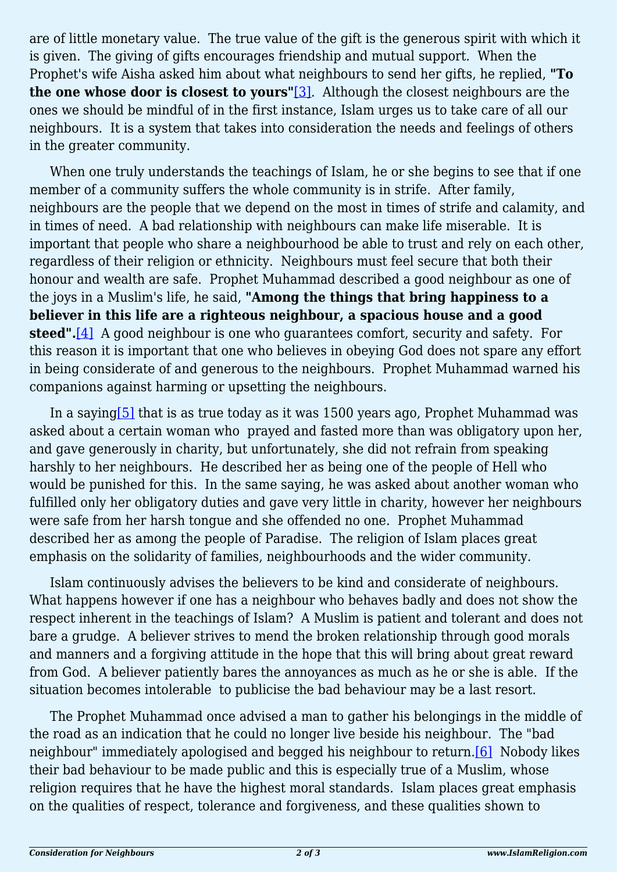<span id="page-1-0"></span>are of little monetary value. The true value of the gift is the generous spirit with which it is given. The giving of gifts encourages friendship and mutual support. When the Prophet's wife Aisha asked him about what neighbours to send her gifts, he replied, **"To the one whose door is closest to yours"**[\[3\]](#page-2-2). Although the closest neighbours are the ones we should be mindful of in the first instance, Islam urges us to take care of all our neighbours. It is a system that takes into consideration the needs and feelings of others in the greater community.

When one truly understands the teachings of Islam, he or she begins to see that if one member of a community suffers the whole community is in strife. After family, neighbours are the people that we depend on the most in times of strife and calamity, and in times of need. A bad relationship with neighbours can make life miserable. It is important that people who share a neighbourhood be able to trust and rely on each other, regardless of their religion or ethnicity. Neighbours must feel secure that both their honour and wealth are safe. Prophet Muhammad described a good neighbour as one of the joys in a Muslim's life, he said, **"Among the things that bring happiness to a believer in this life are a righteous neighbour, a spacious house and a good steed".**[\[4\]](#page-2-3) A good neighbour is one who guarantees comfort, security and safety. For this reason it is important that one who believes in obeying God does not spare any effort in being considerate of and generous to the neighbours. Prophet Muhammad warned his companions against harming or upsetting the neighbours.

<span id="page-1-2"></span><span id="page-1-1"></span>In a sayin[g\[5\]](#page-2-4) that is as true today as it was 1500 years ago, Prophet Muhammad was asked about a certain woman who prayed and fasted more than was obligatory upon her, and gave generously in charity, but unfortunately, she did not refrain from speaking harshly to her neighbours. He described her as being one of the people of Hell who would be punished for this. In the same saying, he was asked about another woman who fulfilled only her obligatory duties and gave very little in charity, however her neighbours were safe from her harsh tongue and she offended no one. Prophet Muhammad described her as among the people of Paradise. The religion of Islam places great emphasis on the solidarity of families, neighbourhoods and the wider community.

Islam continuously advises the believers to be kind and considerate of neighbours. What happens however if one has a neighbour who behaves badly and does not show the respect inherent in the teachings of Islam? A Muslim is patient and tolerant and does not bare a grudge. A believer strives to mend the broken relationship through good morals and manners and a forgiving attitude in the hope that this will bring about great reward from God. A believer patiently bares the annoyances as much as he or she is able. If the situation becomes intolerable to publicise the bad behaviour may be a last resort.

<span id="page-1-3"></span>The Prophet Muhammad once advised a man to gather his belongings in the middle of the road as an indication that he could no longer live beside his neighbour. The "bad neighbour" immediately apologised and begged his neighbour to return.[\[6\]](#page-2-5) Nobody likes their bad behaviour to be made public and this is especially true of a Muslim, whose religion requires that he have the highest moral standards. Islam places great emphasis on the qualities of respect, tolerance and forgiveness, and these qualities shown to